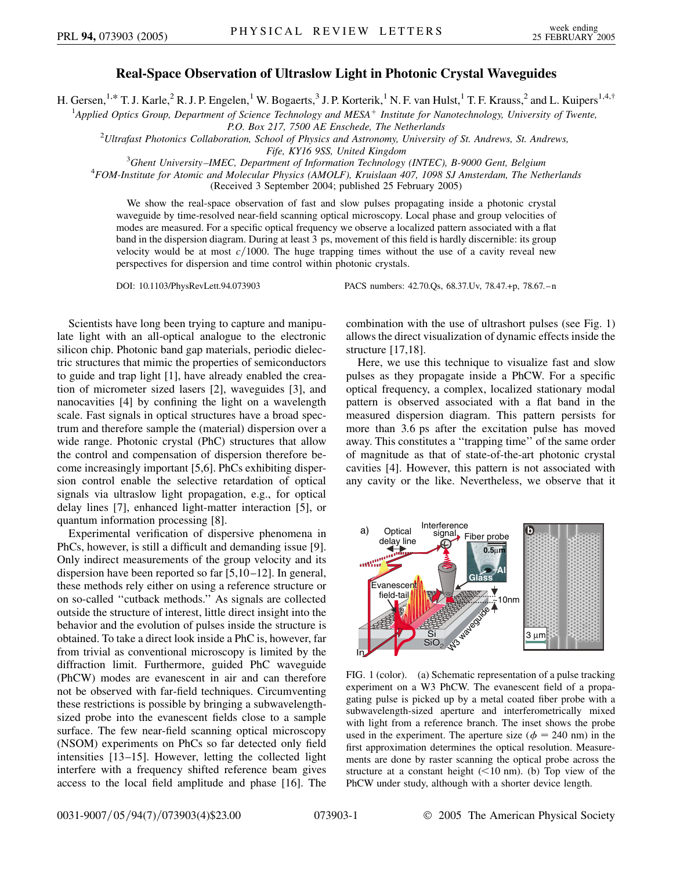## **Real-Space Observation of Ultraslow Light in Photonic Crystal Waveguides**

H. Gersen,<sup>1,\*</sup> T. J. Karle,<sup>2</sup> R. J. P. Engelen,<sup>1</sup> W. Bogaerts,<sup>3</sup> J. P. Korterik,<sup>1</sup> N. F. van Hulst,<sup>1</sup> T. F. Krauss,<sup>2</sup> and L. Kuipers<sup>1,4,†</sup>

<sup>1</sup>Applied Optics Group, Department of Science Technology and MESA<sup>+</sup> Institute for Nanotechnology, University of Twente,

*P.O. Box 217, 7500 AE Enschede, The Netherlands* <sup>2</sup> *Ultrafast Photonics Collaboration, School of Physics and Astronomy, University of St. Andrews, St. Andrews,*

*Fife, KY16 9SS, United Kingdom* <sup>3</sup>

*Ghent University–IMEC, Department of Information Technology (INTEC), B-9000 Gent, Belgium* <sup>4</sup>

*FOM-Institute for Atomic and Molecular Physics (AMOLF), Kruislaan 407, 1098 SJ Amsterdam, The Netherlands* (Received 3 September 2004; published 25 February 2005)

We show the real-space observation of fast and slow pulses propagating inside a photonic crystal waveguide by time-resolved near-field scanning optical microscopy. Local phase and group velocities of modes are measured. For a specific optical frequency we observe a localized pattern associated with a flat band in the dispersion diagram. During at least 3 ps, movement of this field is hardly discernible: its group velocity would be at most  $c/1000$ . The huge trapping times without the use of a cavity reveal new perspectives for dispersion and time control within photonic crystals.

DOI: 10.1103/PhysRevLett.94.073903 PACS numbers: 42.70.Qs, 68.37.Uv, 78.47.+p, 78.67.–n

Scientists have long been trying to capture and manipulate light with an all-optical analogue to the electronic silicon chip. Photonic band gap materials, periodic dielectric structures that mimic the properties of semiconductors to guide and trap light [1], have already enabled the creation of micrometer sized lasers [2], waveguides [3], and nanocavities [4] by confining the light on a wavelength scale. Fast signals in optical structures have a broad spectrum and therefore sample the (material) dispersion over a wide range. Photonic crystal (PhC) structures that allow the control and compensation of dispersion therefore become increasingly important [5,6]. PhCs exhibiting dispersion control enable the selective retardation of optical signals via ultraslow light propagation, e.g., for optical delay lines [7], enhanced light-matter interaction [5], or quantum information processing [8].

Experimental verification of dispersive phenomena in PhCs, however, is still a difficult and demanding issue [9]. Only indirect measurements of the group velocity and its dispersion have been reported so far [5,10–12]. In general, these methods rely either on using a reference structure or on so-called ''cutback methods.'' As signals are collected outside the structure of interest, little direct insight into the behavior and the evolution of pulses inside the structure is obtained. To take a direct look inside a PhC is, however, far from trivial as conventional microscopy is limited by the diffraction limit. Furthermore, guided PhC waveguide (PhCW) modes are evanescent in air and can therefore not be observed with far-field techniques. Circumventing these restrictions is possible by bringing a subwavelengthsized probe into the evanescent fields close to a sample surface. The few near-field scanning optical microscopy (NSOM) experiments on PhCs so far detected only field intensities [13–15]. However, letting the collected light interfere with a frequency shifted reference beam gives access to the local field amplitude and phase [16]. The combination with the use of ultrashort pulses (see Fig. 1) allows the direct visualization of dynamic effects inside the structure [17,18].

Here, we use this technique to visualize fast and slow pulses as they propagate inside a PhCW. For a specific optical frequency, a complex, localized stationary modal pattern is observed associated with a flat band in the measured dispersion diagram. This pattern persists for more than 3*:*6 ps after the excitation pulse has moved away. This constitutes a ''trapping time'' of the same order of magnitude as that of state-of-the-art photonic crystal cavities [4]. However, this pattern is not associated with any cavity or the like. Nevertheless, we observe that it



FIG. 1 (color). (a) Schematic representation of a pulse tracking experiment on a W3 PhCW. The evanescent field of a propagating pulse is picked up by a metal coated fiber probe with a subwavelength-sized aperture and interferometrically mixed with light from a reference branch. The inset shows the probe used in the experiment. The aperture size ( $\phi = 240$  nm) in the first approximation determines the optical resolution. Measurements are done by raster scanning the optical probe across the structure at a constant height (*<*10 nm). (b) Top view of the PhCW under study, although with a shorter device length.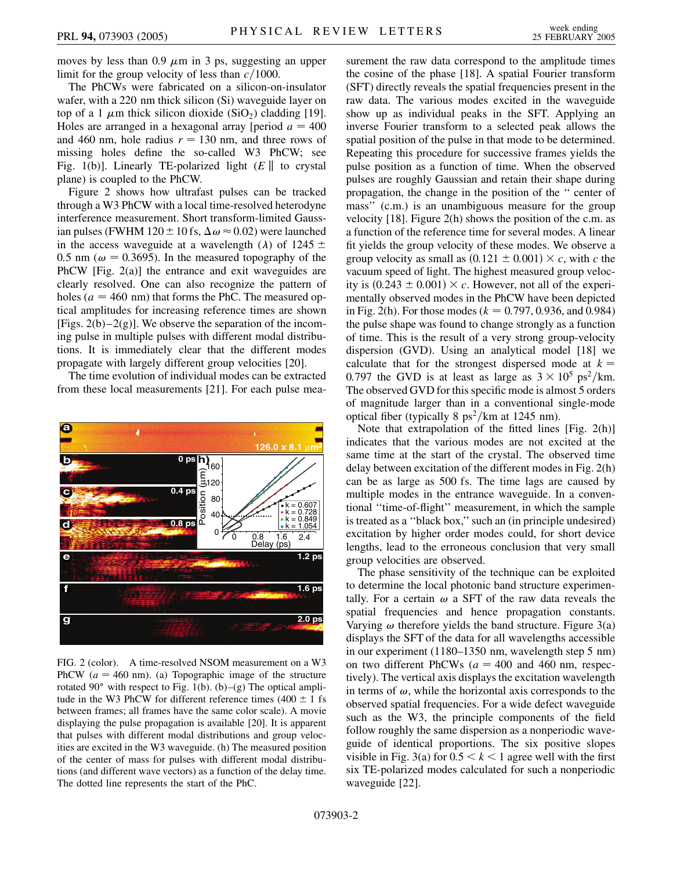moves by less than  $0.9 \mu m$  in 3 ps, suggesting an upper limit for the group velocity of less than  $c/1000$ .

The PhCWs were fabricated on a silicon-on-insulator wafer, with a 220 nm thick silicon (Si) waveguide layer on top of a 1  $\mu$ m thick silicon dioxide (SiO<sub>2</sub>) cladding [19]. Holes are arranged in a hexagonal array [period  $a = 400$ and 460 nm, hole radius  $r = 130$  nm, and three rows of missing holes define the so-called W3 PhCW; see Fig. 1(b)]. Linearly TE-polarized light  $(E \parallel$  to crystal plane) is coupled to the PhCW.

Figure 2 shows how ultrafast pulses can be tracked through a W3 PhCW with a local time-resolved heterodyne interference measurement. Short transform-limited Gaussian pulses (FWHM 120  $\pm$  10 fs,  $\Delta \omega \approx 0.02$ ) were launched in the access waveguide at a wavelength ( $\lambda$ ) of 1245  $\pm$ 0.5 nm ( $\omega$  = 0.3695). In the measured topography of the PhCW [Fig. 2(a)] the entrance and exit waveguides are clearly resolved. One can also recognize the pattern of holes  $(a = 460 \text{ nm})$  that forms the PhC. The measured optical amplitudes for increasing reference times are shown [Figs.  $2(b)-2(g)$ ]. We observe the separation of the incoming pulse in multiple pulses with different modal distributions. It is immediately clear that the different modes propagate with largely different group velocities [20].

The time evolution of individual modes can be extracted from these local measurements [21]. For each pulse mea-



FIG. 2 (color). A time-resolved NSOM measurement on a W3 PhCW  $(a = 460 \text{ nm})$ . (a) Topographic image of the structure rotated 90 $^{\circ}$  with respect to Fig. 1(b). (b)–(g) The optical amplitude in the W3 PhCW for different reference times  $(400 \pm 1 \text{ fs})$ between frames; all frames have the same color scale). A movie displaying the pulse propagation is available [20]. It is apparent that pulses with different modal distributions and group velocities are excited in the W3 waveguide. (h) The measured position of the center of mass for pulses with different modal distributions (and different wave vectors) as a function of the delay time. The dotted line represents the start of the PhC.

surement the raw data correspond to the amplitude times the cosine of the phase [18]. A spatial Fourier transform (SFT) directly reveals the spatial frequencies present in the raw data. The various modes excited in the waveguide show up as individual peaks in the SFT. Applying an inverse Fourier transform to a selected peak allows the spatial position of the pulse in that mode to be determined. Repeating this procedure for successive frames yields the pulse position as a function of time. When the observed pulses are roughly Gaussian and retain their shape during propagation, the change in the position of the '' center of mass'' (c.m.) is an unambiguous measure for the group velocity [18]. Figure 2(h) shows the position of the c.m. as a function of the reference time for several modes. A linear fit yields the group velocity of these modes. We observe a group velocity as small as  $(0.121 \pm 0.001) \times c$ , with *c* the vacuum speed of light. The highest measured group velocity is  $(0.243 \pm 0.001) \times c$ . However, not all of the experimentally observed modes in the PhCW have been depicted in Fig. 2(h). For those modes ( $k = 0.797, 0.936,$  and 0.984) the pulse shape was found to change strongly as a function of time. This is the result of a very strong group-velocity dispersion (GVD). Using an analytical model [18] we calculate that for the strongest dispersed mode at  $k =$ 0.797 the GVD is at least as large as  $3 \times 10^5$  ps<sup>2</sup>/km. The observed GVD for this specific mode is almost 5 orders of magnitude larger than in a conventional single-mode optical fiber (typically 8 ps<sup>2</sup>/km at 1245 nm).

Note that extrapolation of the fitted lines [Fig. 2(h)] indicates that the various modes are not excited at the same time at the start of the crystal. The observed time delay between excitation of the different modes in Fig. 2(h) can be as large as 500 fs. The time lags are caused by multiple modes in the entrance waveguide. In a conventional ''time-of-flight'' measurement, in which the sample is treated as a ''black box,'' such an (in principle undesired) excitation by higher order modes could, for short device lengths, lead to the erroneous conclusion that very small group velocities are observed.

The phase sensitivity of the technique can be exploited to determine the local photonic band structure experimentally. For a certain  $\omega$  a SFT of the raw data reveals the spatial frequencies and hence propagation constants. Varying  $\omega$  therefore yields the band structure. Figure 3(a) displays the SFT of the data for all wavelengths accessible in our experiment (1180–1350 nm, wavelength step 5 nm) on two different PhCWs  $(a = 400 \text{ and } 460 \text{ nm}, \text{ respec-}$ tively). The vertical axis displays the excitation wavelength in terms of  $\omega$ , while the horizontal axis corresponds to the observed spatial frequencies. For a wide defect waveguide such as the W3, the principle components of the field follow roughly the same dispersion as a nonperiodic waveguide of identical proportions. The six positive slopes visible in Fig. 3(a) for  $0.5 < k < 1$  agree well with the first six TE-polarized modes calculated for such a nonperiodic waveguide [22].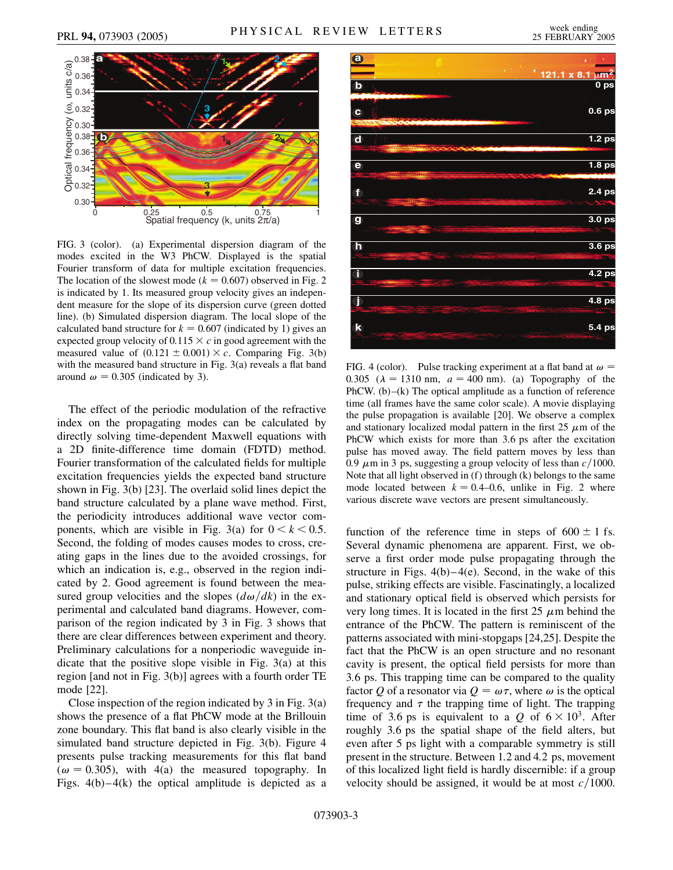

FIG. 3 (color). (a) Experimental dispersion diagram of the modes excited in the W3 PhCW. Displayed is the spatial Fourier transform of data for multiple excitation frequencies. The location of the slowest mode ( $k = 0.607$ ) observed in Fig. 2 is indicated by 1. Its measured group velocity gives an independent measure for the slope of its dispersion curve (green dotted line). (b) Simulated dispersion diagram. The local slope of the calculated band structure for  $k = 0.607$  (indicated by 1) gives an expected group velocity of  $0.115 \times c$  in good agreement with the measured value of  $(0.121 \pm 0.001) \times c$ . Comparing Fig. 3(b) with the measured band structure in Fig. 3(a) reveals a flat band around  $\omega = 0.305$  (indicated by 3).

The effect of the periodic modulation of the refractive index on the propagating modes can be calculated by directly solving time-dependent Maxwell equations with a 2D finite-difference time domain (FDTD) method. Fourier transformation of the calculated fields for multiple excitation frequencies yields the expected band structure shown in Fig. 3(b) [23]. The overlaid solid lines depict the band structure calculated by a plane wave method. First, the periodicity introduces additional wave vector components, which are visible in Fig. 3(a) for  $0 < k < 0.5$ . Second, the folding of modes causes modes to cross, creating gaps in the lines due to the avoided crossings, for which an indication is, e.g., observed in the region indicated by 2. Good agreement is found between the measured group velocities and the slopes  $(d\omega/dk)$  in the experimental and calculated band diagrams. However, comparison of the region indicated by 3 in Fig. 3 shows that there are clear differences between experiment and theory. Preliminary calculations for a nonperiodic waveguide indicate that the positive slope visible in Fig. 3(a) at this region [and not in Fig. 3(b)] agrees with a fourth order TE mode [22].

Close inspection of the region indicated by 3 in Fig. 3(a) shows the presence of a flat PhCW mode at the Brillouin zone boundary. This flat band is also clearly visible in the simulated band structure depicted in Fig. 3(b). Figure 4 presents pulse tracking measurements for this flat band  $(\omega = 0.305)$ , with 4(a) the measured topography. In Figs.  $4(b) - 4(k)$  the optical amplitude is depicted as a



FIG. 4 (color). Pulse tracking experiment at a flat band at  $\omega =$ 0.305 ( $\lambda = 1310$  nm,  $a = 400$  nm). (a) Topography of the PhCW. (b)–(k) The optical amplitude as a function of reference time (all frames have the same color scale). A movie displaying the pulse propagation is available [20]. We observe a complex and stationary localized modal pattern in the first  $25 \mu m$  of the PhCW which exists for more than 3*:*6 ps after the excitation pulse has moved away. The field pattern moves by less than 0.9  $\mu$ m in 3 ps, suggesting a group velocity of less than  $c/1000$ . Note that all light observed in (f) through (k) belongs to the same mode located between  $k = 0.4{\text -}0.6$ , unlike in Fig. 2 where various discrete wave vectors are present simultaneously.

function of the reference time in steps of  $600 \pm 1$  fs. Several dynamic phenomena are apparent. First, we observe a first order mode pulse propagating through the structure in Figs.  $4(b)-4(e)$ . Second, in the wake of this pulse, striking effects are visible. Fascinatingly, a localized and stationary optical field is observed which persists for very long times. It is located in the first  $25 \mu m$  behind the entrance of the PhCW. The pattern is reminiscent of the patterns associated with mini-stopgaps [24,25]. Despite the fact that the PhCW is an open structure and no resonant cavity is present, the optical field persists for more than 3*:*6 ps. This trapping time can be compared to the quality factor Q of a resonator via  $Q = \omega \tau$ , where  $\omega$  is the optical frequency and  $\tau$  the trapping time of light. The trapping time of 3.6 ps is equivalent to a  $Q$  of  $6 \times 10^3$ . After roughly 3*:*6 ps the spatial shape of the field alters, but even after 5 ps light with a comparable symmetry is still present in the structure. Between 1*:*2 and 4*:*2 ps, movement of this localized light field is hardly discernible: if a group velocity should be assigned, it would be at most  $c/1000$ .